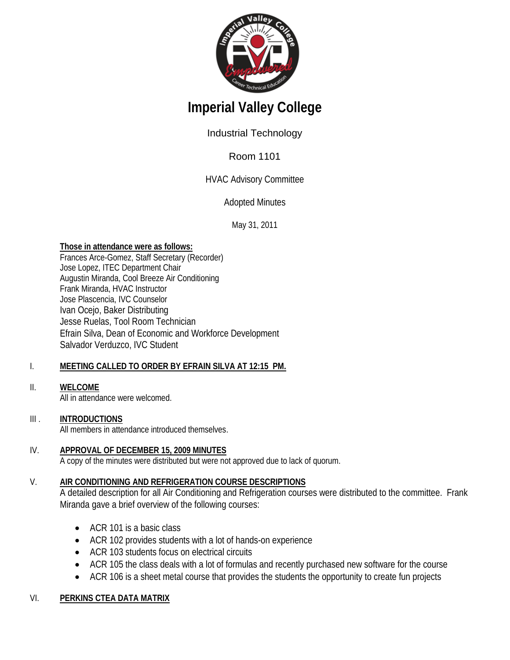

# **Imperial Valley College**

# Industrial Technology

# Room 1101

# HVAC Advisory Committee

# Adopted Minutes

May 31, 2011

## **Those in attendance were as follows:**

Frances Arce-Gomez, Staff Secretary (Recorder) Jose Lopez, ITEC Department Chair Augustin Miranda, Cool Breeze Air Conditioning Frank Miranda, HVAC Instructor Jose Plascencia, IVC Counselor Ivan Ocejo, Baker Distributing Jesse Ruelas, Tool Room Technician Efrain Silva, Dean of Economic and Workforce Development Salvador Verduzco, IVC Student

### I. **MEETING CALLED TO ORDER BY EFRAIN SILVA AT 12:15 PM.**

### II. **WELCOME**

All in attendance were welcomed.

### $III.$ **INTRODUCTIONS**

All members in attendance introduced themselves.

### IV. **APPROVAL OF DECEMBER 15, 2009 MINUTES**

A copy of the minutes were distributed but were not approved due to lack of quorum.

### V. **AIR CONDITIONING AND REFRIGERATION COURSE DESCRIPTIONS**

A detailed description for all Air Conditioning and Refrigeration courses were distributed to the committee. Frank Miranda gave a brief overview of the following courses:

- ACR 101 is a basic class
- ACR 102 provides students with a lot of hands-on experience
- ACR 103 students focus on electrical circuits
- ACR 105 the class deals with a lot of formulas and recently purchased new software for the course
- ACR 106 is a sheet metal course that provides the students the opportunity to create fun projects

# VI. **PERKINS CTEA DATA MATRIX**